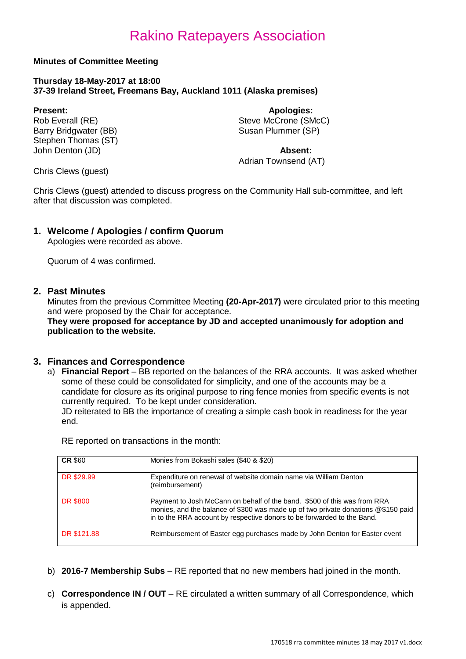#### **Minutes of Committee Meeting**

#### **Thursday 18-May-2017 at 18:00 37-39 Ireland Street, Freemans Bay, Auckland 1011 (Alaska premises)**

Barry Bridgwater (BB) Stephen Thomas (ST) John Denton (JD) **Absent:**

**Present: Apologies: Apologies: Apologies: Apologies: Apologies: Apologies: Apologies: Apologies: Apologies: Apologies: Apologies: Apologies: Apologies: Apologies: Apologies: Apologies: Ap** Steve McCrone (SMcC)<br>Susan Plummer (SP)

Adrian Townsend (AT)

Chris Clews (guest)

Chris Clews (guest) attended to discuss progress on the Community Hall sub-committee, and left after that discussion was completed.

### **1. Welcome / Apologies / confirm Quorum**

Apologies were recorded as above.

Quorum of 4 was confirmed.

#### **2. Past Minutes**

Minutes from the previous Committee Meeting **(20-Apr-2017)** were circulated prior to this meeting and were proposed by the Chair for acceptance.

**They were proposed for acceptance by JD and accepted unanimously for adoption and publication to the website.**

#### **3. Finances and Correspondence**

a) **Financial Report** – BB reported on the balances of the RRA accounts. It was asked whether some of these could be consolidated for simplicity, and one of the accounts may be a candidate for closure as its original purpose to ring fence monies from specific events is not currently required. To be kept under consideration. JD reiterated to BB the importance of creating a simple cash book in readiness for the year end.

RE reported on transactions in the month:

| <b>CR \$60</b>  | Monies from Bokashi sales (\$40 & \$20)                                                                                                                                                                                                  |
|-----------------|------------------------------------------------------------------------------------------------------------------------------------------------------------------------------------------------------------------------------------------|
| DR \$29.99      | Expenditure on renewal of website domain name via William Denton<br>(reimbursement)                                                                                                                                                      |
| <b>DR \$800</b> | Payment to Josh McCann on behalf of the band. \$500 of this was from RRA<br>monies, and the balance of \$300 was made up of two private donations @\$150 paid<br>in to the RRA account by respective donors to be forwarded to the Band. |
| DR \$121.88     | Reimbursement of Easter egg purchases made by John Denton for Easter event                                                                                                                                                               |

- b) **2016-7 Membership Subs** RE reported that no new members had joined in the month.
- c) **Correspondence IN / OUT** RE circulated a written summary of all Correspondence, which is appended.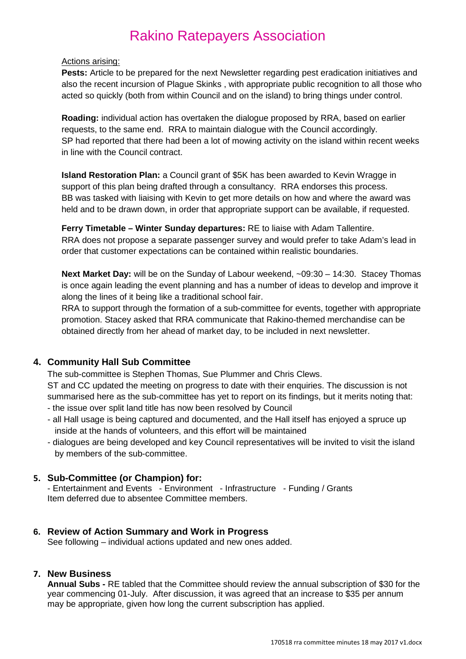#### Actions arising:

**Pests:** Article to be prepared for the next Newsletter regarding pest eradication initiatives and also the recent incursion of Plague Skinks , with appropriate public recognition to all those who acted so quickly (both from within Council and on the island) to bring things under control.

**Roading:** individual action has overtaken the dialogue proposed by RRA, based on earlier requests, to the same end. RRA to maintain dialogue with the Council accordingly. SP had reported that there had been a lot of mowing activity on the island within recent weeks in line with the Council contract.

**Island Restoration Plan:** a Council grant of \$5K has been awarded to Kevin Wragge in support of this plan being drafted through a consultancy. RRA endorses this process. BB was tasked with liaising with Kevin to get more details on how and where the award was held and to be drawn down, in order that appropriate support can be available, if requested.

**Ferry Timetable – Winter Sunday departures:** RE to liaise with Adam Tallentire. RRA does not propose a separate passenger survey and would prefer to take Adam's lead in order that customer expectations can be contained within realistic boundaries.

**Next Market Day:** will be on the Sunday of Labour weekend, ~09:30 – 14:30. Stacey Thomas is once again leading the event planning and has a number of ideas to develop and improve it along the lines of it being like a traditional school fair.

RRA to support through the formation of a sub-committee for events, together with appropriate promotion. Stacey asked that RRA communicate that Rakino-themed merchandise can be obtained directly from her ahead of market day, to be included in next newsletter.

### **4. Community Hall Sub Committee**

The sub-committee is Stephen Thomas, Sue Plummer and Chris Clews.

ST and CC updated the meeting on progress to date with their enquiries. The discussion is not summarised here as the sub-committee has yet to report on its findings, but it merits noting that: - the issue over split land title has now been resolved by Council

- all Hall usage is being captured and documented, and the Hall itself has enjoyed a spruce up inside at the hands of volunteers, and this effort will be maintained
- dialogues are being developed and key Council representatives will be invited to visit the island by members of the sub-committee.

### **5. Sub-Committee (or Champion) for:**

- Entertainment and Events - Environment - Infrastructure - Funding / Grants Item deferred due to absentee Committee members.

### **6. Review of Action Summary and Work in Progress**

See following – individual actions updated and new ones added.

### **7. New Business**

**Annual Subs -** RE tabled that the Committee should review the annual subscription of \$30 for the year commencing 01-July. After discussion, it was agreed that an increase to \$35 per annum may be appropriate, given how long the current subscription has applied.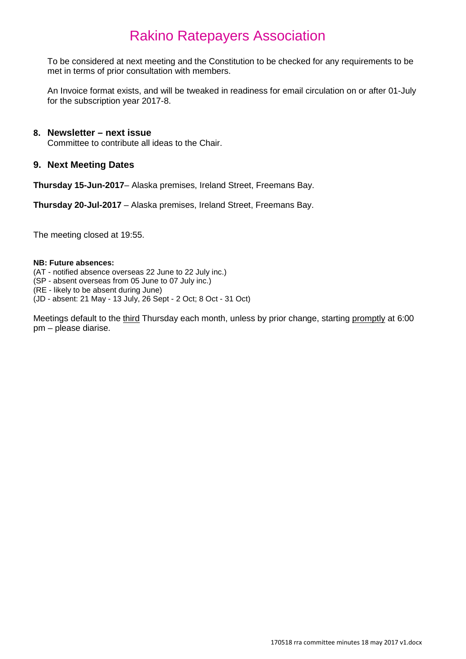To be considered at next meeting and the Constitution to be checked for any requirements to be met in terms of prior consultation with members.

An Invoice format exists, and will be tweaked in readiness for email circulation on or after 01-July for the subscription year 2017-8.

#### **8. Newsletter – next issue**

Committee to contribute all ideas to the Chair.

#### **9. Next Meeting Dates**

**Thursday 15-Jun-2017**– Alaska premises, Ireland Street, Freemans Bay.

**Thursday 20-Jul-2017** – Alaska premises, Ireland Street, Freemans Bay.

The meeting closed at 19:55.

#### **NB: Future absences:**

- (AT notified absence overseas 22 June to 22 July inc.)
- (SP absent overseas from 05 June to 07 July inc.)

(RE - likely to be absent during June)

(JD - absent: 21 May - 13 July, 26 Sept - 2 Oct; 8 Oct - 31 Oct)

Meetings default to the third Thursday each month, unless by prior change, starting promptly at 6:00 pm – please diarise.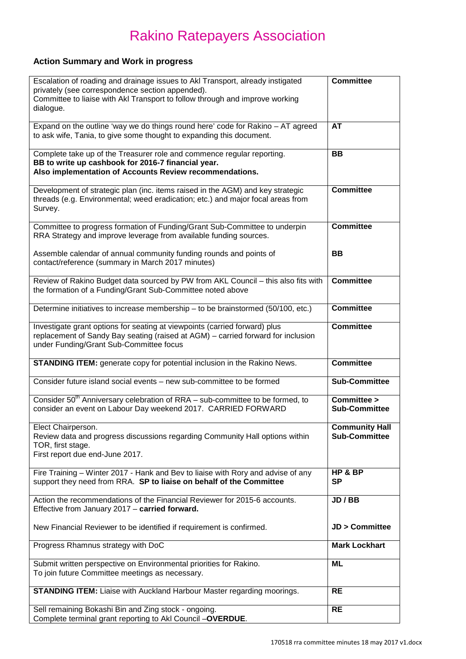### **Action Summary and Work in progress**

| Escalation of roading and drainage issues to AkI Transport, already instigated<br>privately (see correspondence section appended).<br>Committee to liaise with Akl Transport to follow through and improve working<br>dialogue. | <b>Committee</b>                              |
|---------------------------------------------------------------------------------------------------------------------------------------------------------------------------------------------------------------------------------|-----------------------------------------------|
| Expand on the outline 'way we do things round here' code for Rakino - AT agreed<br>to ask wife, Tania, to give some thought to expanding this document.                                                                         | <b>AT</b>                                     |
| Complete take up of the Treasurer role and commence regular reporting.<br>BB to write up cashbook for 2016-7 financial year.<br>Also implementation of Accounts Review recommendations.                                         | <b>BB</b>                                     |
| Development of strategic plan (inc. items raised in the AGM) and key strategic<br>threads (e.g. Environmental; weed eradication; etc.) and major focal areas from<br>Survey.                                                    | <b>Committee</b>                              |
| Committee to progress formation of Funding/Grant Sub-Committee to underpin<br>RRA Strategy and improve leverage from available funding sources.                                                                                 | <b>Committee</b>                              |
| Assemble calendar of annual community funding rounds and points of<br>contact/reference (summary in March 2017 minutes)                                                                                                         | <b>BB</b>                                     |
| Review of Rakino Budget data sourced by PW from AKL Council - this also fits with<br>the formation of a Funding/Grant Sub-Committee noted above                                                                                 | <b>Committee</b>                              |
| Determine initiatives to increase membership - to be brainstormed (50/100, etc.)                                                                                                                                                | <b>Committee</b>                              |
| Investigate grant options for seating at viewpoints (carried forward) plus<br>replacement of Sandy Bay seating (raised at AGM) - carried forward for inclusion<br>under Funding/Grant Sub-Committee focus                       | <b>Committee</b>                              |
| <b>STANDING ITEM:</b> generate copy for potential inclusion in the Rakino News.                                                                                                                                                 | <b>Committee</b>                              |
| Consider future island social events - new sub-committee to be formed                                                                                                                                                           | <b>Sub-Committee</b>                          |
| Consider 50 <sup>th</sup> Anniversary celebration of RRA - sub-committee to be formed, to<br>consider an event on Labour Day weekend 2017. CARRIED FORWARD                                                                      | Committee ><br><b>Sub-Committee</b>           |
| Elect Chairperson.<br>Review data and progress discussions regarding Community Hall options within<br>TOR, first stage.<br>First report due end-June 2017.                                                                      | <b>Community Hall</b><br><b>Sub-Committee</b> |
| Fire Training - Winter 2017 - Hank and Bev to liaise with Rory and advise of any<br>support they need from RRA. SP to liaise on behalf of the Committee                                                                         | HP & BP<br><b>SP</b>                          |
| Action the recommendations of the Financial Reviewer for 2015-6 accounts.<br>Effective from January 2017 - carried forward.                                                                                                     | JD / BB                                       |
| New Financial Reviewer to be identified if requirement is confirmed.                                                                                                                                                            | <b>JD &gt; Committee</b>                      |
| Progress Rhamnus strategy with DoC                                                                                                                                                                                              | <b>Mark Lockhart</b>                          |
| Submit written perspective on Environmental priorities for Rakino.<br>To join future Committee meetings as necessary.                                                                                                           | ML                                            |
| <b>STANDING ITEM:</b> Liaise with Auckland Harbour Master regarding moorings.                                                                                                                                                   | <b>RE</b>                                     |
| Sell remaining Bokashi Bin and Zing stock - ongoing.<br>Complete terminal grant reporting to AkI Council -OVERDUE.                                                                                                              | <b>RE</b>                                     |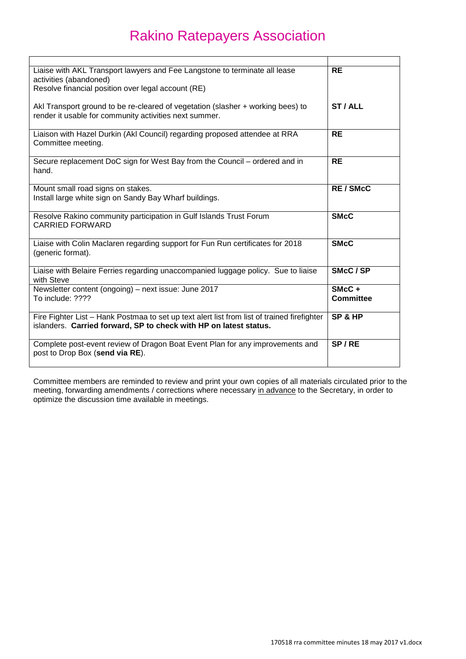| Liaise with AKL Transport lawyers and Fee Langstone to terminate all lease<br>activities (abandoned)                                                             | <b>RE</b>             |
|------------------------------------------------------------------------------------------------------------------------------------------------------------------|-----------------------|
| Resolve financial position over legal account (RE)                                                                                                               |                       |
| Akl Transport ground to be re-cleared of vegetation (slasher + working bees) to<br>render it usable for community activities next summer.                        | ST/ALL                |
| Liaison with Hazel Durkin (Akl Council) regarding proposed attendee at RRA<br>Committee meeting.                                                                 | <b>RE</b>             |
| Secure replacement DoC sign for West Bay from the Council – ordered and in<br>hand.                                                                              | <b>RE</b>             |
| Mount small road signs on stakes.<br>Install large white sign on Sandy Bay Wharf buildings.                                                                      | <b>RE/SMcC</b>        |
| Resolve Rakino community participation in Gulf Islands Trust Forum<br><b>CARRIED FORWARD</b>                                                                     | <b>SMcC</b>           |
| Liaise with Colin Maclaren regarding support for Fun Run certificates for 2018<br>(generic format).                                                              | <b>SMcC</b>           |
| Liaise with Belaire Ferries regarding unaccompanied luggage policy. Sue to liaise<br>with Steve                                                                  | SMcC/SP               |
| Newsletter content (ongoing) – next issue: June 2017<br>To include: ????                                                                                         | $SMcC +$<br>Committee |
| Fire Fighter List - Hank Postmaa to set up text alert list from list of trained firefighter<br>islanders. Carried forward, SP to check with HP on latest status. | SP & HP               |
| Complete post-event review of Dragon Boat Event Plan for any improvements and<br>post to Drop Box (send via RE).                                                 | SP/RE                 |

Committee members are reminded to review and print your own copies of all materials circulated prior to the meeting, forwarding amendments / corrections where necessary <u>in advance</u> to the Secretary, in order to optimize the discussion time available in meetings.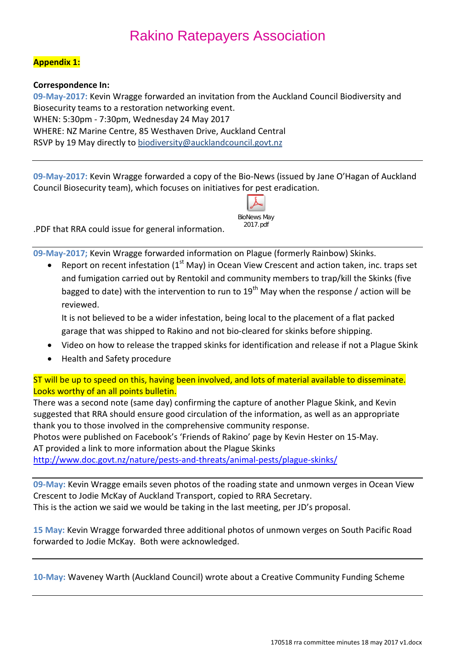### **Appendix 1:**

**Correspondence In:**

**09-May-2017:** Kevin Wragge forwarded an invitation from the Auckland Council Biodiversity and Biosecurity teams to a restoration networking event. WHEN: 5:30pm - 7:30pm, Wednesday 24 May 2017 WHERE: NZ Marine Centre, 85 Westhaven Drive, Auckland Central RSVP by 19 May directly to [biodiversity@aucklandcouncil.govt.nz](mailto:biodiversity@aucklandcouncil.govt.nz?subject=RSVP%20Biodiversity%20Day%20Event)

**09-May-2017:** Kevin Wragge forwarded a copy of the Bio-News (issued by Jane O'Hagan of Auckland Council Biosecurity team), which focuses on initiatives for pest eradication.



.PDF that RRA could issue for general information.

**09-May-2017;** Kevin Wragge forwarded information on Plague (formerly Rainbow) Skinks.

Report on recent infestation (1<sup>st</sup> May) in Ocean View Crescent and action taken, inc. traps set and fumigation carried out by Rentokil and community members to trap/kill the Skinks (five bagged to date) with the intervention to run to  $19<sup>th</sup>$  May when the response / action will be reviewed.

It is not believed to be a wider infestation, being local to the placement of a flat packed garage that was shipped to Rakino and not bio-cleared for skinks before shipping.

- Video on how to release the trapped skinks for identification and release if not a Plague Skink
- Health and Safety procedure

ST will be up to speed on this, having been involved, and lots of material available to disseminate. Looks worthy of an all points bulletin.

There was a second note (same day) confirming the capture of another Plague Skink, and Kevin suggested that RRA should ensure good circulation of the information, as well as an appropriate thank you to those involved in the comprehensive community response.

Photos were published on Facebook's 'Friends of Rakino' page by Kevin Hester on 15-May. AT provided a link to more information about the Plague Skinks

<http://www.doc.govt.nz/nature/pests-and-threats/animal-pests/plague-skinks/>

**09-May:** Kevin Wragge emails seven photos of the roading state and unmown verges in Ocean View Crescent to Jodie McKay of Auckland Transport, copied to RRA Secretary. This is the action we said we would be taking in the last meeting, per JD's proposal.

**15 May:** Kevin Wragge forwarded three additional photos of unmown verges on South Pacific Road forwarded to Jodie McKay. Both were acknowledged.

**10-May:** Waveney Warth (Auckland Council) wrote about a Creative Community Funding Scheme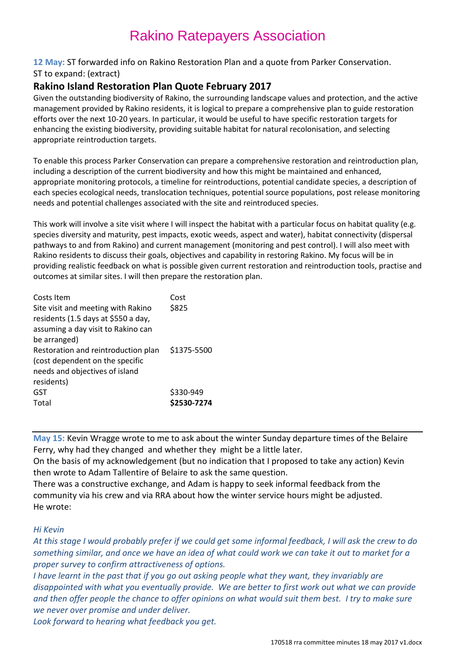#### **12 May:** ST forwarded info on Rakino Restoration Plan and a quote from Parker Conservation.

#### ST to expand: (extract)

### **Rakino Island Restoration Plan Quote February 2017**

Given the outstanding biodiversity of Rakino, the surrounding landscape values and protection, and the active management provided by Rakino residents, it is logical to prepare a comprehensive plan to guide restoration efforts over the next 10-20 years. In particular, it would be useful to have specific restoration targets for enhancing the existing biodiversity, providing suitable habitat for natural recolonisation, and selecting appropriate reintroduction targets.

To enable this process Parker Conservation can prepare a comprehensive restoration and reintroduction plan, including a description of the current biodiversity and how this might be maintained and enhanced, appropriate monitoring protocols, a timeline for reintroductions, potential candidate species, a description of each species ecological needs, translocation techniques, potential source populations, post release monitoring needs and potential challenges associated with the site and reintroduced species.

This work will involve a site visit where I will inspect the habitat with a particular focus on habitat quality (e.g. species diversity and maturity, pest impacts, exotic weeds, aspect and water), habitat connectivity (dispersal pathways to and from Rakino) and current management (monitoring and pest control). I will also meet with Rakino residents to discuss their goals, objectives and capability in restoring Rakino. My focus will be in providing realistic feedback on what is possible given current restoration and reintroduction tools, practise and outcomes at similar sites. I will then prepare the restoration plan.

| Costs Item<br>Site visit and meeting with Rakino<br>residents (1.5 days at \$550 a day,<br>assuming a day visit to Rakino can | Cost<br>\$825            |
|-------------------------------------------------------------------------------------------------------------------------------|--------------------------|
| be arranged)<br>Restoration and reintroduction plan<br>(cost dependent on the specific<br>needs and objectives of island      | \$1375-5500              |
| residents)<br>GST<br>Total                                                                                                    | \$330-949<br>\$2530-7274 |

**May 15:** Kevin Wragge wrote to me to ask about the winter Sunday departure times of the Belaire Ferry, why had they changed and whether they might be a little later.

On the basis of my acknowledgement (but no indication that I proposed to take any action) Kevin then wrote to Adam Tallentire of Belaire to ask the same question.

There was a constructive exchange, and Adam is happy to seek informal feedback from the community via his crew and via RRA about how the winter service hours might be adjusted. He wrote:

#### *Hi Kevin*

*At this stage I would probably prefer if we could get some informal feedback, I will ask the crew to do something similar, and once we have an idea of what could work we can take it out to market for a proper survey to confirm attractiveness of options.*

*I have learnt in the past that if you go out asking people what they want, they invariably are disappointed with what you eventually provide. We are better to first work out what we can provide and then offer people the chance to offer opinions on what would suit them best. I try to make sure we never over promise and under deliver.*

*Look forward to hearing what feedback you get.*